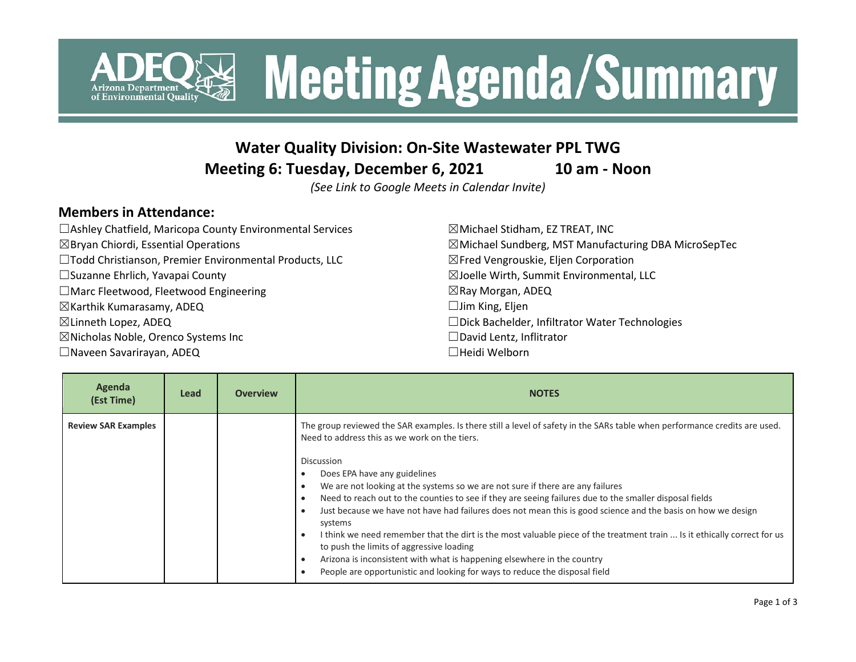

## **Water Quality Division: On-Site Wastewater PPL TWG**

**Meeting 6: Tuesday, December 6, 2021 10 am - Noon**

*(See Link to Google Meets in Calendar Invite)*

## **Members in Attendance:**

| $\Box$ Ashley Chatfield, Maricopa County Environmental Services | $\boxtimes$ Michael Stidham, EZ TREAT, INC                      |
|-----------------------------------------------------------------|-----------------------------------------------------------------|
| $\boxtimes$ Bryan Chiordi, Essential Operations                 | $\boxtimes$ Michael Sundberg, MST Manufacturing DBA MicroSepTec |
| □Todd Christianson, Premier Environmental Products, LLC         | $\boxtimes$ Fred Vengrouskie, Eljen Corporation                 |
| □ Suzanne Ehrlich, Yavapai County                               | $\boxtimes$ Joelle Wirth, Summit Environmental, LLC             |
| $\Box$ Marc Fleetwood, Fleetwood Engineering                    | $\boxtimes$ Ray Morgan, ADEQ                                    |
| $\boxtimes$ Karthik Kumarasamy, ADEQ                            | $\Box$ Jim King, Eljen                                          |
| $\boxtimes$ Linneth Lopez, ADEQ                                 | □Dick Bachelder, Infiltrator Water Technologies                 |
| $\boxtimes$ Nicholas Noble, Orenco Systems Inc                  | $\Box$ David Lentz, Inflitrator                                 |
| $\Box$ Naveen Savarirayan, ADEQ                                 | $\Box$ Heidi Welborn                                            |

| Agenda<br>(Est Time)       | Lead | <b>Overview</b> | <b>NOTES</b>                                                                                                                                                                                                                                                                                                                                                                                                                                                                                                                                                                                                                                                                                                                                                                                                                                                                                                           |
|----------------------------|------|-----------------|------------------------------------------------------------------------------------------------------------------------------------------------------------------------------------------------------------------------------------------------------------------------------------------------------------------------------------------------------------------------------------------------------------------------------------------------------------------------------------------------------------------------------------------------------------------------------------------------------------------------------------------------------------------------------------------------------------------------------------------------------------------------------------------------------------------------------------------------------------------------------------------------------------------------|
| <b>Review SAR Examples</b> |      |                 | The group reviewed the SAR examples. Is there still a level of safety in the SARs table when performance credits are used.<br>Need to address this as we work on the tiers.<br>Discussion<br>Does EPA have any guidelines<br>We are not looking at the systems so we are not sure if there are any failures<br>Need to reach out to the counties to see if they are seeing failures due to the smaller disposal fields<br>Just because we have not have had failures does not mean this is good science and the basis on how we design<br>systems<br>I think we need remember that the dirt is the most valuable piece of the treatment train  Is it ethically correct for us<br>$\blacksquare$<br>to push the limits of aggressive loading<br>Arizona is inconsistent with what is happening elsewhere in the country<br>$\blacksquare$<br>People are opportunistic and looking for ways to reduce the disposal field |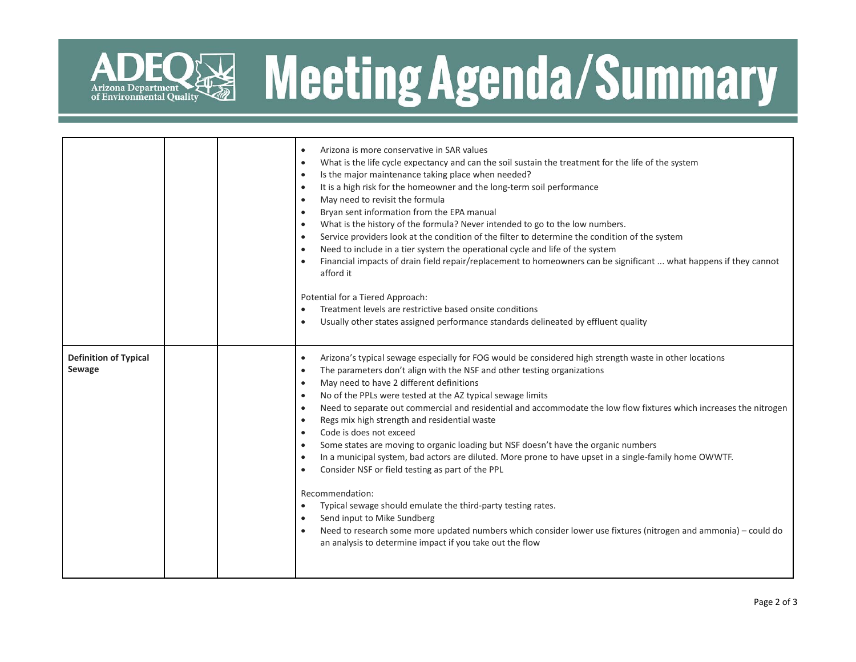

|                                        | Arizona is more conservative in SAR values<br>$\bullet$<br>What is the life cycle expectancy and can the soil sustain the treatment for the life of the system<br>$\bullet$<br>Is the major maintenance taking place when needed?<br>$\bullet$<br>It is a high risk for the homeowner and the long-term soil performance<br>$\bullet$<br>May need to revisit the formula<br>$\bullet$<br>Bryan sent information from the EPA manual<br>$\bullet$<br>What is the history of the formula? Never intended to go to the low numbers.<br>$\bullet$<br>Service providers look at the condition of the filter to determine the condition of the system<br>$\bullet$<br>Need to include in a tier system the operational cycle and life of the system<br>$\bullet$<br>Financial impacts of drain field repair/replacement to homeowners can be significant  what happens if they cannot<br>$\bullet$<br>afford it<br>Potential for a Tiered Approach:<br>Treatment levels are restrictive based onsite conditions<br>Usually other states assigned performance standards delineated by effluent quality<br>$\bullet$                                                                                                              |
|----------------------------------------|---------------------------------------------------------------------------------------------------------------------------------------------------------------------------------------------------------------------------------------------------------------------------------------------------------------------------------------------------------------------------------------------------------------------------------------------------------------------------------------------------------------------------------------------------------------------------------------------------------------------------------------------------------------------------------------------------------------------------------------------------------------------------------------------------------------------------------------------------------------------------------------------------------------------------------------------------------------------------------------------------------------------------------------------------------------------------------------------------------------------------------------------------------------------------------------------------------------------------|
| <b>Definition of Typical</b><br>Sewage | Arizona's typical sewage especially for FOG would be considered high strength waste in other locations<br>$\bullet$<br>The parameters don't align with the NSF and other testing organizations<br>$\bullet$<br>May need to have 2 different definitions<br>$\bullet$<br>No of the PPLs were tested at the AZ typical sewage limits<br>$\bullet$<br>Need to separate out commercial and residential and accommodate the low flow fixtures which increases the nitrogen<br>$\bullet$<br>Regs mix high strength and residential waste<br>$\bullet$<br>Code is does not exceed<br>$\bullet$<br>Some states are moving to organic loading but NSF doesn't have the organic numbers<br>$\bullet$<br>In a municipal system, bad actors are diluted. More prone to have upset in a single-family home OWWTF.<br>$\bullet$<br>Consider NSF or field testing as part of the PPL<br>$\bullet$<br>Recommendation:<br>Typical sewage should emulate the third-party testing rates.<br>$\bullet$<br>Send input to Mike Sundberg<br>$\bullet$<br>Need to research some more updated numbers which consider lower use fixtures (nitrogen and ammonia) – could do<br>$\bullet$<br>an analysis to determine impact if you take out the flow |